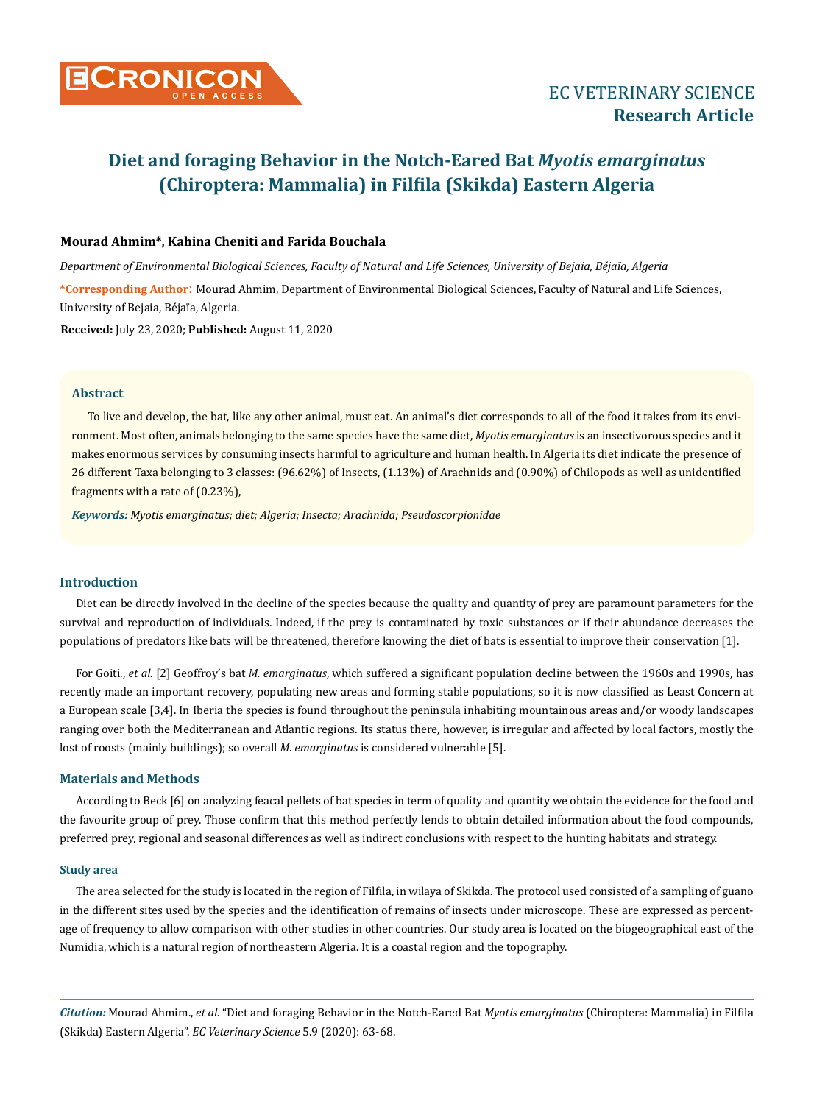

### **Mourad Ahmim\*, Kahina Cheniti and Farida Bouchala**

*Department of Environmental Biological Sciences, Faculty of Natural and Life Sciences, University of Bejaia, Béjaïa, Algeria*

**\*Corresponding Author**: Mourad Ahmim, Department of Environmental Biological Sciences, Faculty of Natural and Life Sciences, University of Bejaia, Béjaïa, Algeria.

**Received:** July 23, 2020; **Published:** August 11, 2020

#### **Abstract**

To live and develop, the bat, like any other animal, must eat. An animal's diet corresponds to all of the food it takes from its environment. Most often, animals belonging to the same species have the same diet, *Myotis emarginatus* is an insectivorous species and it makes enormous services by consuming insects harmful to agriculture and human health. In Algeria its diet indicate the presence of 26 different Taxa belonging to 3 classes: (96.62%) of Insects, (1.13%) of Arachnids and (0.90%) of Chilopods as well as unidentified fragments with a rate of (0.23%),

*Keywords: Myotis emarginatus; diet; Algeria; Insecta; Arachnida; Pseudoscorpionidae*

### **Introduction**

Diet can be directly involved in the decline of the species because the quality and quantity of prey are paramount parameters for the survival and reproduction of individuals. Indeed, if the prey is contaminated by toxic substances or if their abundance decreases the populations of predators like bats will be threatened, therefore knowing the diet of bats is essential to improve their conservation [1].

For Goiti., *et al*. [2] Geoffroy's bat *M. emarginatus*, which suffered a significant population decline between the 1960s and 1990s, has recently made an important recovery, populating new areas and forming stable populations, so it is now classified as Least Concern at a European scale [3,4]. In Iberia the species is found throughout the peninsula inhabiting mountainous areas and/or woody landscapes ranging over both the Mediterranean and Atlantic regions. Its status there, however, is irregular and affected by local factors, mostly the lost of roosts (mainly buildings); so overall *M. emarginatus* is considered vulnerable [5].

#### **Materials and Methods**

According to Beck [6] on analyzing feacal pellets of bat species in term of quality and quantity we obtain the evidence for the food and the favourite group of prey. Those confirm that this method perfectly lends to obtain detailed information about the food compounds, preferred prey, regional and seasonal differences as well as indirect conclusions with respect to the hunting habitats and strategy.

#### **Study area**

The area selected for the study is located in the region of Filfila, in wilaya of Skikda. The protocol used consisted of a sampling of guano in the different sites used by the species and the identification of remains of insects under microscope. These are expressed as percentage of frequency to allow comparison with other studies in other countries. Our study area is located on the biogeographical east of the Numidia, which is a natural region of northeastern Algeria. It is a coastal region and the topography.

*Citation:* Mourad Ahmim., *et al*. "Diet and foraging Behavior in the Notch-Eared Bat *Myotis emarginatus* (Chiroptera: Mammalia) in Filfila (Skikda) Eastern Algeria". *EC Veterinary Science* 5.9 (2020): 63-68.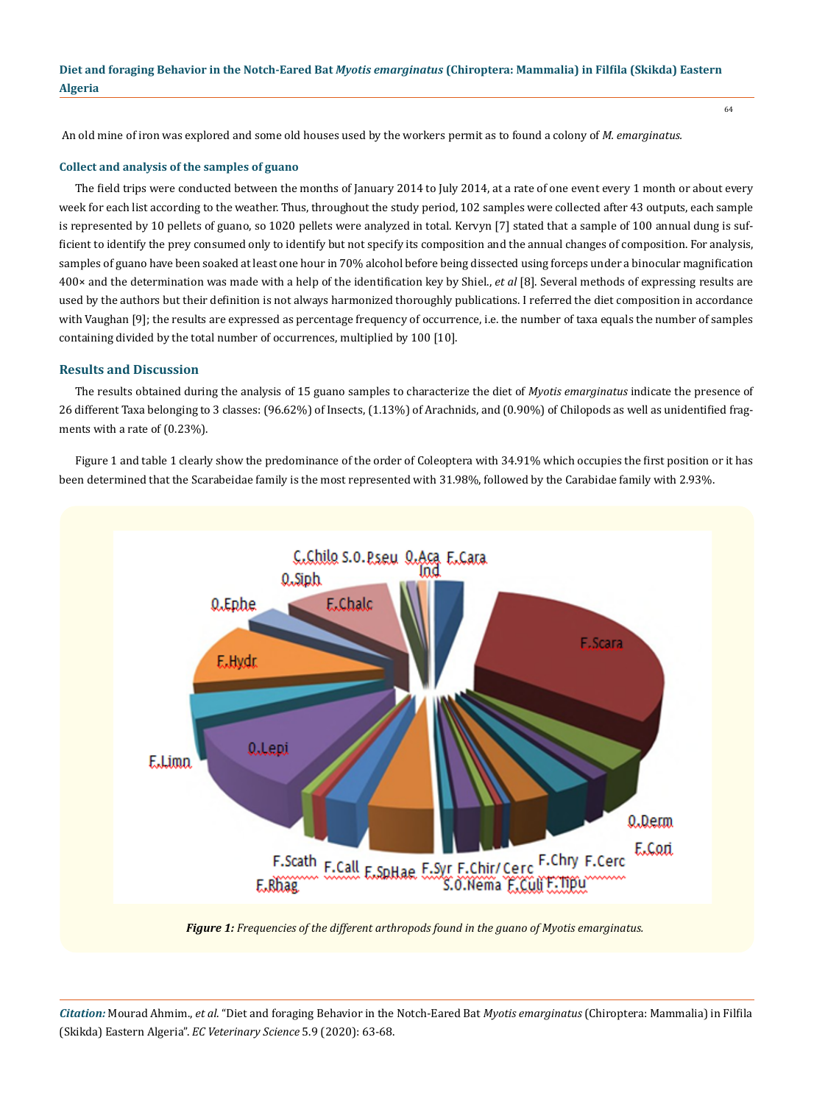An old mine of iron was explored and some old houses used by the workers permit as to found a colony of *M. emarginatus.*

#### **Collect and analysis of the samples of guano**

The field trips were conducted between the months of January 2014 to July 2014, at a rate of one event every 1 month or about every week for each list according to the weather. Thus, throughout the study period, 102 samples were collected after 43 outputs, each sample is represented by 10 pellets of guano, so 1020 pellets were analyzed in total. Kervyn [7] stated that a sample of 100 annual dung is sufficient to identify the prey consumed only to identify but not specify its composition and the annual changes of composition. For analysis, samples of guano have been soaked at least one hour in 70% alcohol before being dissected using forceps under a binocular magnification 400× and the determination was made with a help of the identification key by Shiel., *et al* [8]. Several methods of expressing results are used by the authors but their definition is not always harmonized thoroughly publications. I referred the diet composition in accordance with Vaughan [9]; the results are expressed as percentage frequency of occurrence, i.e. the number of taxa equals the number of samples containing divided by the total number of occurrences, multiplied by 100 [10].

### **Results and Discussion**

The results obtained during the analysis of 15 guano samples to characterize the diet of *Myotis emarginatus* indicate the presence of 26 different Taxa belonging to 3 classes: (96.62%) of Insects, (1.13%) of Arachnids, and (0.90%) of Chilopods as well as unidentified fragments with a rate of (0.23%).

Figure 1 and table 1 clearly show the predominance of the order of Coleoptera with 34.91% which occupies the first position or it has been determined that the Scarabeidae family is the most represented with 31.98%, followed by the Carabidae family with 2.93%.



*Figure 1: Frequencies of the different arthropods found in the guano of Myotis emarginatus.*

*Citation:* Mourad Ahmim., *et al*. "Diet and foraging Behavior in the Notch-Eared Bat *Myotis emarginatus* (Chiroptera: Mammalia) in Filfila (Skikda) Eastern Algeria". *EC Veterinary Science* 5.9 (2020): 63-68.

64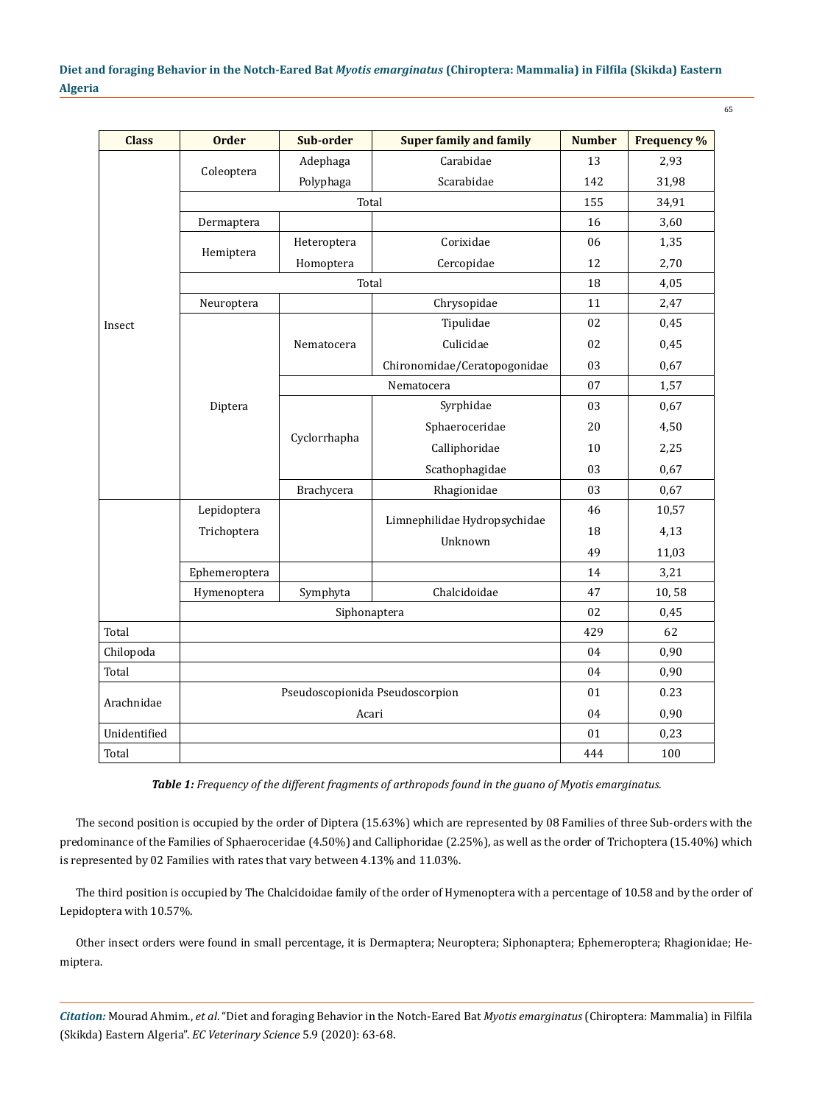| <b>Class</b> | <b>Order</b>                    | Sub-order    | <b>Super family and family</b>          | <b>Number</b> | <b>Frequency %</b> |
|--------------|---------------------------------|--------------|-----------------------------------------|---------------|--------------------|
| Insect       | Coleoptera                      | Adephaga     | Carabidae                               | 13            | 2,93               |
|              |                                 | Polyphaga    | Scarabidae                              | 142           | 31,98              |
|              | Total                           |              |                                         | 155           | 34,91              |
|              | Dermaptera                      |              |                                         | 16            | 3,60               |
|              | Hemiptera                       | Heteroptera  | Corixidae                               | 06            | 1,35               |
|              |                                 | Homoptera    | Cercopidae                              | 12            | 2,70               |
|              | Total                           |              |                                         | 18            | 4,05               |
|              | Neuroptera                      |              | Chrysopidae                             | 11            | 2,47               |
|              | Diptera                         | Nematocera   | Tipulidae                               | 02            | 0,45               |
|              |                                 |              | Culicidae                               | 02            | 0,45               |
|              |                                 |              | Chironomidae/Ceratopogonidae            | 03            | 0,67               |
|              |                                 | Nematocera   |                                         | 07            | 1,57               |
|              |                                 | Cyclorrhapha | Syrphidae                               | 03            | 0,67               |
|              |                                 |              | Sphaeroceridae                          | 20            | 4,50               |
|              |                                 |              | Calliphoridae                           | 10            | 2,25               |
|              |                                 |              | Scathophagidae                          | 03            | 0,67               |
|              |                                 | Brachycera   | Rhagionidae                             | 03            | 0,67               |
|              | Lepidoptera<br>Trichoptera      |              | Limnephilidae Hydropsychidae<br>Unknown | 46            | 10,57              |
|              |                                 |              |                                         | 18            | 4,13               |
|              |                                 |              |                                         | 49            | 11,03              |
|              | Ephemeroptera                   |              |                                         | 14            | 3,21               |
|              | Hymenoptera                     | Symphyta     | Chalcidoidae                            | 47            | 10,58              |
|              | Siphonaptera                    |              |                                         | 02            | 0,45               |
| Total        |                                 |              |                                         | 429           | 62                 |
| Chilopoda    |                                 |              |                                         | 04            | 0,90               |
| Total        |                                 |              |                                         | 04            | 0,90               |
| Arachnidae   | Pseudoscopionida Pseudoscorpion |              |                                         | 01            | 0.23               |
|              | Acari                           |              |                                         | 04            | 0,90               |
| Unidentified |                                 |              |                                         | 01            | 0,23               |
| Total        |                                 |              |                                         | 444           | 100                |

*Table 1: Frequency of the different fragments of arthropods found in the guano of Myotis emarginatus.*

The second position is occupied by the order of Diptera (15.63%) which are represented by 08 Families of three Sub-orders with the predominance of the Families of Sphaeroceridae (4.50%) and Calliphoridae (2.25%), as well as the order of Trichoptera (15.40%) which is represented by 02 Families with rates that vary between 4.13% and 11.03%.

The third position is occupied by The Chalcidoidae family of the order of Hymenoptera with a percentage of 10.58 and by the order of Lepidoptera with 10.57%.

Other insect orders were found in small percentage, it is Dermaptera; Neuroptera; Siphonaptera; Ephemeroptera; Rhagionidae; Hemiptera.

*Citation:* Mourad Ahmim., *et al*. "Diet and foraging Behavior in the Notch-Eared Bat *Myotis emarginatus* (Chiroptera: Mammalia) in Filfila (Skikda) Eastern Algeria". *EC Veterinary Science* 5.9 (2020): 63-68.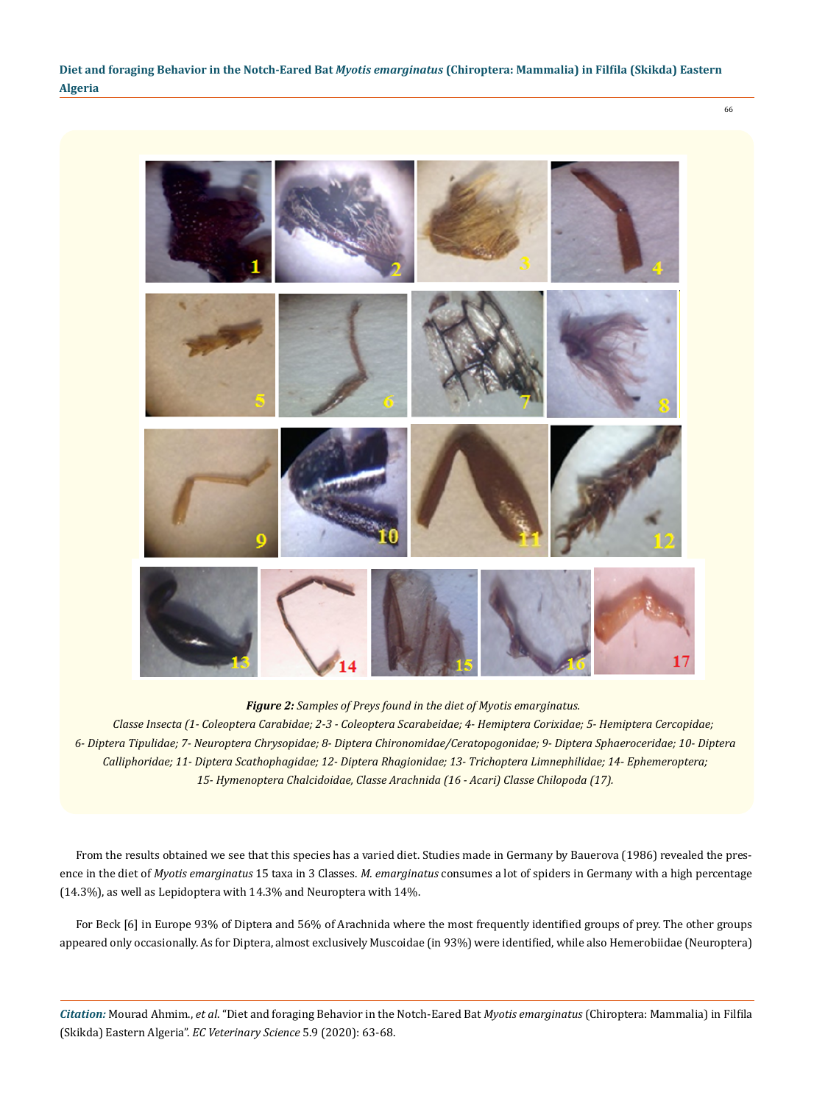66



*Figure 2: Samples of Preys found in the diet of Myotis emarginatus.*

*Classe Insecta (1- Coleoptera Carabidae; 2-3 - Coleoptera Scarabeidae; 4- Hemiptera Corixidae; 5- Hemiptera Cercopidae; 6- Diptera Tipulidae; 7- Neuroptera Chrysopidae; 8- Diptera Chironomidae/Ceratopogonidae; 9- Diptera Sphaeroceridae; 10- Diptera Calliphoridae; 11- Diptera Scathophagidae; 12- Diptera Rhagionidae; 13- Trichoptera Limnephilidae; 14- Ephemeroptera; 15- Hymenoptera Chalcidoidae, Classe Arachnida (16 - Acari) Classe Chilopoda (17).*

From the results obtained we see that this species has a varied diet. Studies made in Germany by Bauerova (1986) revealed the presence in the diet of *Myotis emarginatus* 15 taxa in 3 Classes. *M. emarginatus* consumes a lot of spiders in Germany with a high percentage (14.3%), as well as Lepidoptera with 14.3% and Neuroptera with 14%.

For Beck [6] in Europe 93% of Diptera and 56% of Arachnida where the most frequently identified groups of prey. The other groups appeared only occasionally. As for Diptera, almost exclusively Muscoidae (in 93%) were identified, while also Hemerobiidae (Neuroptera)

*Citation:* Mourad Ahmim., *et al*. "Diet and foraging Behavior in the Notch-Eared Bat *Myotis emarginatus* (Chiroptera: Mammalia) in Filfila (Skikda) Eastern Algeria". *EC Veterinary Science* 5.9 (2020): 63-68.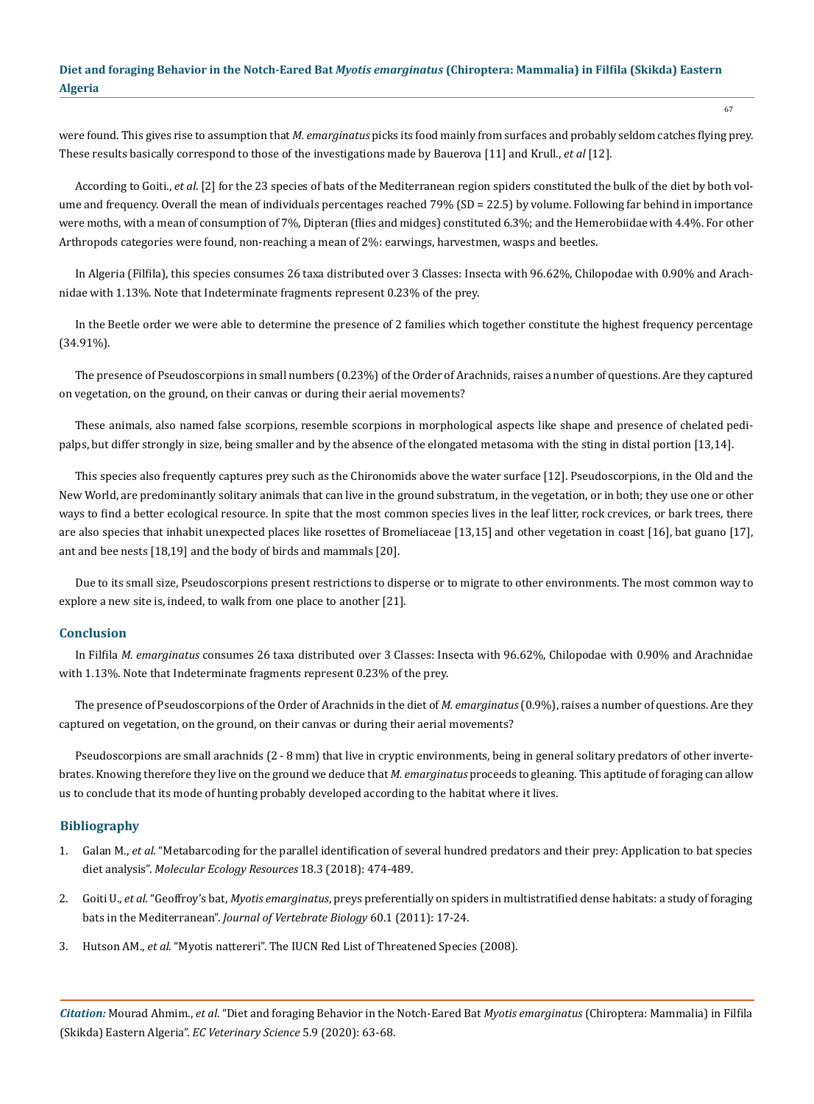were found. This gives rise to assumption that *M. emarginatus* picks its food mainly from surfaces and probably seldom catches flying prey. These results basically correspond to those of the investigations made by Bauerova [11] and Krull., *et al* [12].

According to Goiti., *et al*. [2] for the 23 species of bats of the Mediterranean region spiders constituted the bulk of the diet by both volume and frequency. Overall the mean of individuals percentages reached 79% (SD = 22.5) by volume. Following far behind in importance were moths, with a mean of consumption of 7%, Dipteran (flies and midges) constituted 6.3%; and the Hemerobiidae with 4.4%. For other Arthropods categories were found, non-reaching a mean of 2%: earwings, harvestmen, wasps and beetles.

In Algeria (Filfila), this species consumes 26 taxa distributed over 3 Classes: Insecta with 96.62%, Chilopodae with 0.90% and Arachnidae with 1.13%. Note that Indeterminate fragments represent 0.23% of the prey.

In the Beetle order we were able to determine the presence of 2 families which together constitute the highest frequency percentage (34.91%).

The presence of Pseudoscorpions in small numbers (0.23%) of the Order of Arachnids, raises a number of questions. Are they captured on vegetation, on the ground, on their canvas or during their aerial movements?

These animals, also named false scorpions, resemble scorpions in morphological aspects like shape and presence of chelated pedipalps, but differ strongly in size, being smaller and by the absence of the elongated metasoma with the sting in distal portion [13,14].

This species also frequently captures prey such as the Chironomids above the water surface [12]. Pseudoscorpions, in the Old and the New World, are predominantly solitary animals that can live in the ground substratum, in the vegetation, or in both; they use one or other ways to find a better ecological resource. In spite that the most common species lives in the leaf litter, rock crevices, or bark trees, there are also species that inhabit unexpected places like rosettes of Bromeliaceae [13,15] and other vegetation in coast [16], bat guano [17], ant and bee nests [18,19] and the body of birds and mammals [20].

Due to its small size, Pseudoscorpions present restrictions to disperse or to migrate to other environments. The most common way to explore a new site is, indeed, to walk from one place to another [21].

## **Conclusion**

In Filfila *M. emarginatus* consumes 26 taxa distributed over 3 Classes: Insecta with 96.62%, Chilopodae with 0.90% and Arachnidae with 1.13%. Note that Indeterminate fragments represent 0.23% of the prey.

The presence of Pseudoscorpions of the Order of Arachnids in the diet of *M. emarginatus* (0.9%), raises a number of questions. Are they captured on vegetation, on the ground, on their canvas or during their aerial movements?

Pseudoscorpions are small arachnids (2 - 8 mm) that live in cryptic environments, being in general solitary predators of other invertebrates. Knowing therefore they live on the ground we deduce that *M. emarginatus* proceeds to gleaning. This aptitude of foraging can allow us to conclude that its mode of hunting probably developed according to the habitat where it lives.

#### **Bibliography**

- 1. Galan M., *et al.* ["Metabarcoding for the parallel identification of several hundred predators and their prey: Application to bat species](https://onlinelibrary.wiley.com/doi/abs/10.1111/1755-0998.12749) diet analysis". *[Molecular Ecology Resources](https://onlinelibrary.wiley.com/doi/abs/10.1111/1755-0998.12749)* 18.3 (2018): 474-489.
- 2. Goiti U., *et al.* "Geoffroy's bat, *Myotis emarginatus*[, preys preferentially on spiders in multistratified dense habitats: a study of foraging](https://www.researchgate.net/publication/257946241_Geoffroy%27s_bat_Myotis_emarginatus_preys_preferentially_on_spiders_in_multistratified_dense_habitats_A_study_of_foraging_bats_in_the_Mediterranean) bats in the Mediterranean". *[Journal of Vertebrate Biology](https://www.researchgate.net/publication/257946241_Geoffroy%27s_bat_Myotis_emarginatus_preys_preferentially_on_spiders_in_multistratified_dense_habitats_A_study_of_foraging_bats_in_the_Mediterranean)* 60.1 (2011): 17-24.
- 3. Hutson AM., *et al.* "Myotis nattereri". The IUCN Red List of Threatened Species (2008).

*Citation:* Mourad Ahmim., *et al*. "Diet and foraging Behavior in the Notch-Eared Bat *Myotis emarginatus* (Chiroptera: Mammalia) in Filfila (Skikda) Eastern Algeria". *EC Veterinary Science* 5.9 (2020): 63-68.

67